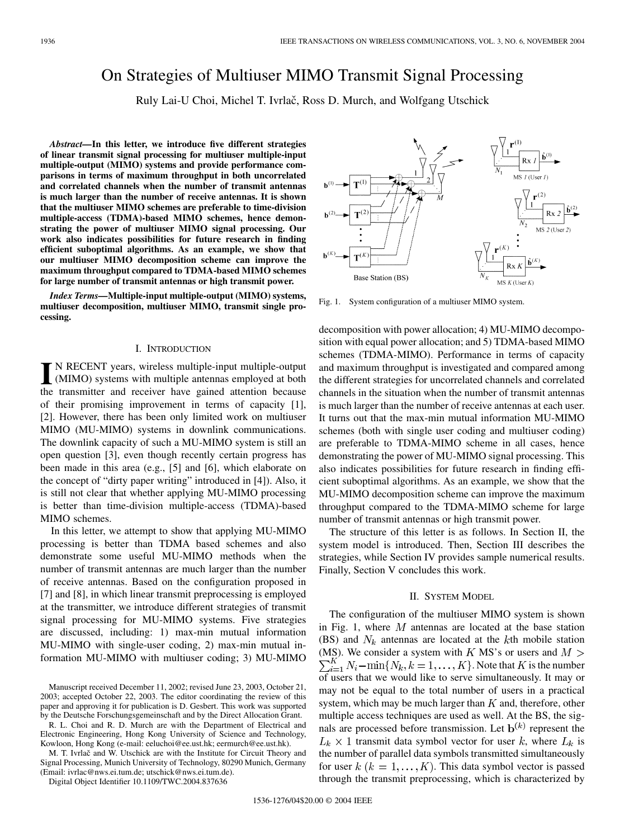# On Strategies of Multiuser MIMO Transmit Signal Processing

Ruly Lai-U Choi, Michel T. Ivrlač, Ross D. Murch, and Wolfgang Utschick

*Abstract—***In this letter, we introduce five different strategies of linear transmit signal processing for multiuser multiple-input multiple-output (MIMO) systems and provide performance comparisons in terms of maximum throughput in both uncorrelated and correlated channels when the number of transmit antennas is much larger than the number of receive antennas. It is shown that the multiuser MIMO schemes are preferable to time-division multiple-access (TDMA)-based MIMO schemes, hence demonstrating the power of multiuser MIMO signal processing. Our work also indicates possibilities for future research in finding efficient suboptimal algorithms. As an example, we show that our multiuser MIMO decomposition scheme can improve the maximum throughput compared to TDMA-based MIMO schemes for large number of transmit antennas or high transmit power.**

*Index Terms—***Multiple-input multiple-output (MIMO) systems, multiuser decomposition, multiuser MIMO, transmit single processing.**

#### I. INTRODUCTION

**I** N RECENT years, wireless multiple-input multiple-output (MIMO) systems with multiple antennas employed at both the transmitter and receiver have gained attention because of their promising improvement in terms of capacity [\[1](#page-5-0)], [\[2](#page-5-0)]. However, there has been only limited work on multiuser MIMO (MU-MIMO) systems in downlink communications. The downlink capacity of such a MU-MIMO system is still an open question [\[3](#page-5-0)], even though recently certain progress has been made in this area (e.g., [\[5](#page-5-0)] and [\[6](#page-5-0)], which elaborate on the concept of "dirty paper writing" introduced in [[4\]](#page-5-0)). Also, it is still not clear that whether applying MU-MIMO processing is better than time-division multiple-access (TDMA)-based MIMO schemes.

In this letter, we attempt to show that applying MU-MIMO processing is better than TDMA based schemes and also demonstrate some useful MU-MIMO methods when the number of transmit antennas are much larger than the number of receive antennas. Based on the configuration proposed in [\[7](#page-5-0)] and [\[8](#page-5-0)], in which linear transmit preprocessing is employed at the transmitter, we introduce different strategies of transmit signal processing for MU-MIMO systems. Five strategies are discussed, including: 1) max-min mutual information MU-MIMO with single-user coding, 2) max-min mutual information MU-MIMO with multiuser coding; 3) MU-MIMO

R. L. Choi and R. D. Murch are with the Department of Electrical and Electronic Engineering, Hong Kong University of Science and Technology, Kowloon, Hong Kong (e-mail: eeluchoi@ee.ust.hk; eermurch@ee.ust.hk).

M. T. Ivrlač and W. Utschick are with the Institute for Circuit Theory and Signal Processing, Munich University of Technology, 80290 Munich, Germany (Email: ivrlac@nws.ei.tum.de; utschick@nws.ei.tum.de).

Digital Object Identifier 10.1109/TWC.2004.837636



Fig. 1. System configuration of a multiuser MIMO system.

decomposition with power allocation; 4) MU-MIMO decomposition with equal power allocation; and 5) TDMA-based MIMO schemes (TDMA-MIMO). Performance in terms of capacity and maximum throughput is investigated and compared among the different strategies for uncorrelated channels and correlated channels in the situation when the number of transmit antennas is much larger than the number of receive antennas at each user. It turns out that the max-min mutual information MU-MIMO schemes (both with single user coding and multiuser coding) are preferable to TDMA-MIMO scheme in all cases, hence demonstrating the power of MU-MIMO signal processing. This also indicates possibilities for future research in finding efficient suboptimal algorithms. As an example, we show that the MU-MIMO decomposition scheme can improve the maximum throughput compared to the TDMA-MIMO scheme for large number of transmit antennas or high transmit power.

The structure of this letter is as follows. In Section II, the system model is introduced. Then, Section III describes the strategies, while Section IV provides sample numerical results. Finally, Section V concludes this work.

### II. SYSTEM MODEL

The configuration of the multiuser MIMO system is shown in Fig. 1, where  $M$  antennas are located at the base station (BS) and  $N_k$  antennas are located at the kth mobile station (MS). We consider a system with K MS's or users and  $M >$  $\sum_{i=1}^{K} N_i - \min\{N_k, k = 1, \ldots, K\}$ . Note that K is the number of users that we would like to serve simultaneously. It may or may not be equal to the total number of users in a practical system, which may be much larger than  $K$  and, therefore, other multiple access techniques are used as well. At the BS, the signals are processed before transmission. Let  $\mathbf{b}^{(k)}$  represent the  $L_k \times 1$  transmit data symbol vector for user k, where  $L_k$  is the number of parallel data symbols transmitted simultaneously for user  $k$   $(k = 1, ..., K)$ . This data symbol vector is passed through the transmit preprocessing, which is characterized by

Manuscript received December 11, 2002; revised June 23, 2003, October 21, 2003; accepted October 22, 2003. The editor coordinating the review of this paper and approving it for publication is D. Gesbert. This work was supported by the Deutsche Forschungsgemeinschaft and by the Direct Allocation Grant.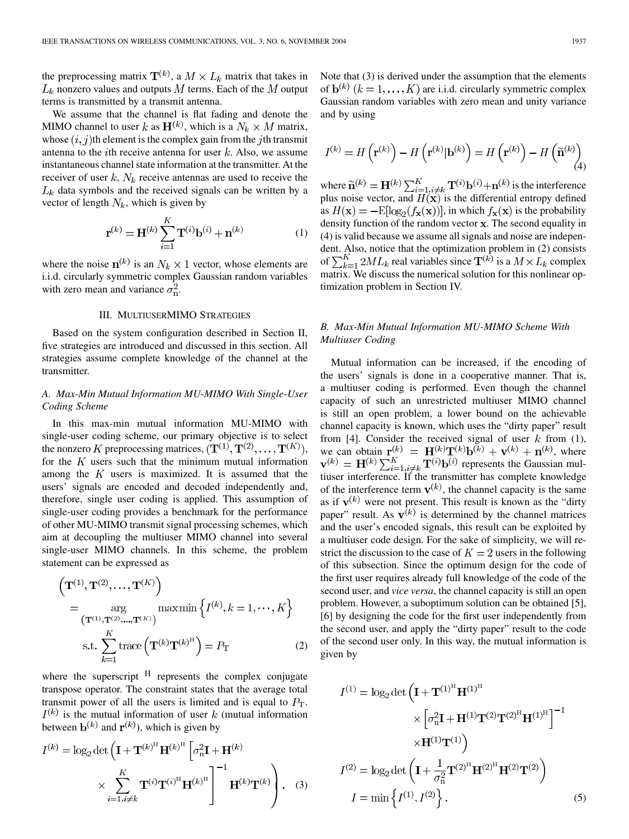the preprocessing matrix  $T^{(k)}$ , a  $M \times L_k$  matrix that takes in  $L_k$  nonzero values and outputs M terms. Each of the M output terms is transmitted by a transmit antenna.

We assume that the channel is flat fading and denote the MIMO channel to user k as  $H^{(k)}$ , which is a  $N_k \times M$  matrix, whose  $(i, j)$ th element is the complex gain from the jth transmit antenna to the *i*th receive antenna for user  $k$ . Also, we assume instantaneous channel state information at the transmitter. At the receiver of user  $k$ ,  $N_k$  receive antennas are used to receive the  $L_k$  data symbols and the received signals can be written by a vector of length  $N_k$ , which is given by

$$
\mathbf{r}^{(k)} = \mathbf{H}^{(k)} \sum_{i=1}^{K} \mathbf{T}^{(i)} \mathbf{b}^{(i)} + \mathbf{n}^{(k)}
$$
(1)

where the noise  $\mathbf{n}^{(k)}$  is an  $N_k \times 1$  vector, whose elements are i.i.d. circularly symmetric complex Gaussian random variables with zero mean and variance  $\sigma_{\rm n}^2$ .

## III. MULTIUSERMIMO STRATEGIES

Based on the system configuration described in Section II, five strategies are introduced and discussed in this section. All strategies assume complete knowledge of the channel at the transmitter.

## *A. Max-Min Mutual Information MU-MIMO With Single-User Coding Scheme*

In this max-min mutual information MU-MIMO with single-user coding scheme, our primary objective is to select the nonzero K preprocessing matrices,  $(\mathbf{T}^{(1)}, \mathbf{T}^{(2)}, \dots, \mathbf{T}^{(K)}),$ for the  $K$  users such that the minimum mutual information among the  $K$  users is maximized. It is assumed that the users' signals are encoded and decoded independently and, therefore, single user coding is applied. This assumption of single-user coding provides a benchmark for the performance of other MU-MIMO transmit signal processing schemes, which aim at decoupling the multiuser MIMO channel into several single-user MIMO channels. In this scheme, the problem statement can be expressed as

$$
\left(\mathbf{T}^{(1)}, \mathbf{T}^{(2)}, \dots, \mathbf{T}^{(K)}\right)
$$
\n
$$
= \underset{\left(\mathbf{T}^{(1)}, \mathbf{T}^{(2)}, \dots, \mathbf{T}^{(K)}\right)}{\arg \max \min} \left\{I^{(k)}, k = 1, \dots, K\right\}
$$
\n
$$
\text{s.t. } \sum_{k=1}^{K} \text{trace}\left(\mathbf{T}^{(k)} \mathbf{T}^{(k)^{\text{H}}}\right) = P_{\text{T}} \tag{2}
$$

where the superscript  $H$  represents the complex conjugate transpose operator. The constraint states that the average total transmit power of all the users is limited and is equal to  $P_T$ .  $I^{(k)}$  is the mutual information of user k (mutual information between  $\mathbf{b}^{(k)}$  and  $\mathbf{r}^{(k)}$ ), which is given by

$$
I^{(k)} = \log_2 \det \left( \mathbf{I} + \mathbf{T}^{(k)^{\mathrm{H}}} \mathbf{H}^{(k)^{\mathrm{H}}} \left[ \sigma_{\mathrm{n}}^2 \mathbf{I} + \mathbf{H}^{(k)} \right] \times \sum_{i=1, i \neq k}^{K} \mathbf{T}^{(i)} \mathbf{T}^{(i)^{\mathrm{H}}} \mathbf{H}^{(k)^{\mathrm{H}}} \right]^{-1} \mathbf{H}^{(k)} \mathbf{T}^{(k)} \right). \quad (3)
$$

Note that (3) is derived under the assumption that the elements of  $\mathbf{b}^{(k)}$   $(k = 1, ..., K)$  are i.i.d. circularly symmetric complex Gaussian random variables with zero mean and unity variance and by using

$$
I^{(k)} = H\left(\mathbf{r}^{(k)}\right) - H\left(\mathbf{r}^{(k)}|\mathbf{b}^{(k)}\right) = H\left(\mathbf{r}^{(k)}\right) - H\left(\widetilde{\mathbf{n}}^{(k)}\right)
$$
\n(4)

where  $\widetilde{\mathbf{n}}^{(k)} = \mathbf{H}^{(k)} \sum_{i=1}^{K} \mathbf{T}^{(i)} \mathbf{b}^{(i)} + \mathbf{n}^{(k)}$  is the interference plus noise vector, and  $H(\mathbf{x})$  is the differential entropy defined as  $H(\mathbf{x}) = -E[\log_2(f_{\mathbf{x}}(\mathbf{x}))]$ , in which  $f_{\mathbf{x}}(\mathbf{x})$  is the probability density function of the random vector  $x$ . The second equality in (4) is valid because we assume all signals and noise are independent. Also, notice that the optimization problem in (2) consists of  $\sum_{k=1}^{K} 2ML_k$  real variables since  $\mathbf{T}^{(k)}$  is a  $M \times L_k$  complex matrix. We discuss the numerical solution for this nonlinear optimization problem in Section IV.

# *B. Max-Min Mutual Information MU-MIMO Scheme With Multiuser Coding*

Mutual information can be increased, if the encoding of the users' signals is done in a cooperative manner. That is, a multiuser coding is performed. Even though the channel capacity of such an unrestricted multiuser MIMO channel is still an open problem, a lower bound on the achievable channel capacity is known, which uses the "dirty paper" result from [\[4](#page-5-0)]. Consider the received signal of user  $k$  from (1), we can obtain  $\mathbf{r}_{\cdot}^{(k)} = \mathbf{H}^{(k)} \mathbf{T}^{(k)} \mathbf{b}^{(k)} + \mathbf{v}^{(k)} + \mathbf{n}^{(k)}$ , where represents the Gaussian multiuser interference. If the transmitter has complete knowledge of the interference term  $\mathbf{v}^{(k)}$ , the channel capacity is the same as if  $\mathbf{v}^{(k)}$  were not present. This result is known as the "dirty" paper" result. As  $v^{(k)}$  is determined by the channel matrices and the user's encoded signals, this result can be exploited by a multiuser code design. For the sake of simplicity, we will restrict the discussion to the case of  $K = 2$  users in the following of this subsection. Since the optimum design for the code of the first user requires already full knowledge of the code of the second user, and *vice versa*, the channel capacity is still an open problem. However, a suboptimum solution can be obtained [[5\]](#page-5-0), [[6\]](#page-5-0) by designing the code for the first user independently from the second user, and apply the "dirty paper" result to the code of the second user only. In this way, the mutual information is given by

$$
I^{(1)} = \log_2 \det \left( \mathbf{I} + \mathbf{T}^{(1)^{\mathrm{H}}} \mathbf{H}^{(1)^{\mathrm{H}}} \times \left[ \sigma_{\mathrm{n}}^2 \mathbf{I} + \mathbf{H}^{(1)} \mathbf{T}^{(2)} \mathbf{T}^{(2)^{\mathrm{H}}} \mathbf{H}^{(1)^{\mathrm{H}}} \right]^{-1} \times \mathbf{H}^{(1)} \mathbf{T}^{(1)} \right)
$$
  

$$
I^{(2)} = \log_2 \det \left( \mathbf{I} + \frac{1}{\sigma_{\mathrm{n}}^2} \mathbf{T}^{(2)^{\mathrm{H}}} \mathbf{H}^{(2)^{\mathrm{H}}} \mathbf{T}^{(2)} \mathbf{T}^{(2)} \right)
$$
  

$$
I = \min \left\{ I^{(1)}, I^{(2)} \right\}. \tag{5}
$$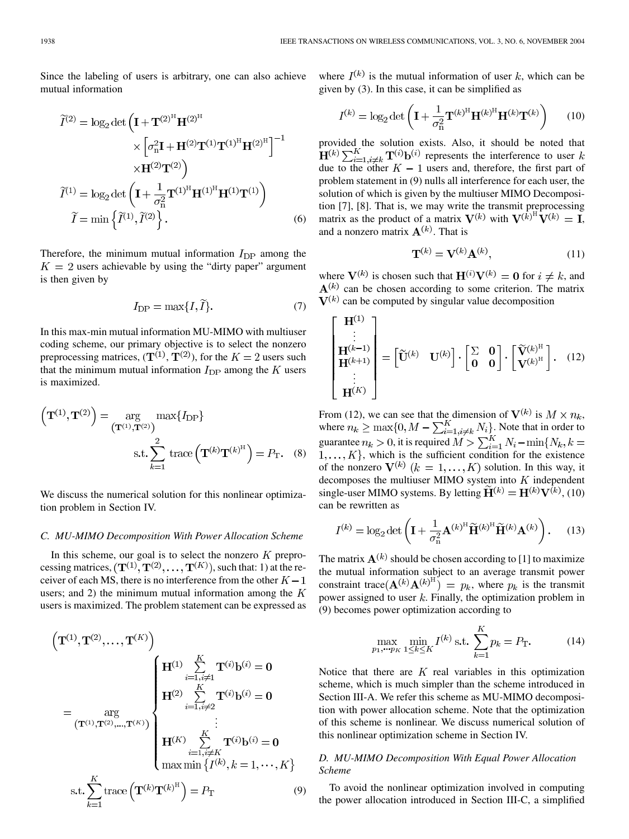Since the labeling of users is arbitrary, one can also achieve mutual information

$$
\widetilde{I}^{(2)} = \log_2 \det \left( \mathbf{I} + \mathbf{T}^{(2)^{\mathrm{H}}} \mathbf{H}^{(2)^{\mathrm{H}}} \times \left[ \sigma_{\mathrm{n}}^2 \mathbf{I} + \mathbf{H}^{(2)} \mathbf{T}^{(1)} \mathbf{T}^{(1)^{\mathrm{H}}} \mathbf{H}^{(2)^{\mathrm{H}}} \right]^{-1} \times \mathbf{H}^{(2)} \mathbf{T}^{(2)} \right)
$$
\n
$$
\widetilde{I}^{(1)} = \log_2 \det \left( \mathbf{I} + \frac{1}{\sigma_{\mathrm{n}}^2} \mathbf{T}^{(1)^{\mathrm{H}}} \mathbf{H}^{(1)^{\mathrm{H}}} \mathbf{H}^{(1)} \mathbf{T}^{(1)} \right)
$$
\n
$$
\widetilde{I} = \min \left\{ \widetilde{I}^{(1)}, \widetilde{I}^{(2)} \right\}. \tag{6}
$$

Therefore, the minimum mutual information  $I_{\text{DP}}$  among the  $K = 2$  users achievable by using the "dirty paper" argument is then given by

$$
I_{\rm DP} = \max\{I, \tilde{I}\}.
$$
 (7)

In this max-min mutual information MU-MIMO with multiuser coding scheme, our primary objective is to select the nonzero preprocessing matrices,  $({\bf T}^{(1)}, {\bf T}^{(2)})$ , for the  $K = 2$  users such that the minimum mutual information  $I_{\text{DP}}$  among the K users is maximized.

$$
\left(\mathbf{T}^{(1)}, \mathbf{T}^{(2)}\right) = \underset{\left(\mathbf{T}^{(1)}, \mathbf{T}^{(2)}\right)}{\arg} \max\{I_{\text{DP}}\}
$$
\n
$$
\text{s.t.} \sum_{k=1}^{2} \text{trace}\left(\mathbf{T}^{(k)} \mathbf{T}^{(k)^{\text{H}}}\right) = P_{\text{T}}.\tag{8}
$$

We discuss the numerical solution for this nonlinear optimization problem in Section IV.

## *C. MU-MIMO Decomposition With Power Allocation Scheme*

In this scheme, our goal is to select the nonzero  $K$  preprocessing matrices,  $(\mathbf{T}^{(1)}, \mathbf{T}^{(2)}, \dots, \mathbf{T}^{(K)})$ , such that: 1) at the receiver of each MS, there is no interference from the other  $K - 1$ users; and 2) the minimum mutual information among the  $K$ users is maximized. The problem statement can be expressed as

$$
\begin{pmatrix}\n\mathbf{T}^{(1)}, \mathbf{T}^{(2)}, \dots, \mathbf{T}^{(K)}\n\end{pmatrix}\n= \underset{k=1}{\arg} \begin{cases}\n\mathbf{H}^{(1)} & \sum_{i=1, i \neq 1}^{K} \mathbf{T}^{(i)} \mathbf{b}^{(i)} = \mathbf{0} \\
\mathbf{H}^{(2)} & \sum_{i=1, i \neq 2}^{K} \mathbf{T}^{(i)} \mathbf{b}^{(i)} = \mathbf{0} \\
\vdots \\
\mathbf{H}^{(K)} & \sum_{i=1, i \neq K}^{K} \mathbf{T}^{(i)} \mathbf{b}^{(i)} = \mathbf{0} \\
\max \min \{I^{(k)}, k = 1, \dots, K\} \\
\text{s.t.} & \sum_{k=1}^{K} \text{trace} \left(\mathbf{T}^{(k)} \mathbf{T}^{(k)^{\text{H}}} \right) = P_{\text{T}}\n\end{pmatrix}
$$
\n(9)

where  $I^{(k)}$  is the mutual information of user k, which can be given by (3). In this case, it can be simplified as

$$
I^{(k)} = \log_2 \det \left( \mathbf{I} + \frac{1}{\sigma_{\text{n}}^2} \mathbf{T}^{(k)^{\text{H}}} \mathbf{H}^{(k)^{\text{H}}} \mathbf{H}^{(k)} \mathbf{T}^{(k)} \right) \tag{10}
$$

provided the solution exists. Also, it should be noted that represents the interference to user due to the other  $K-1$  users and, therefore, the first part of problem statement in (9) nulls all interference for each user, the solution of which is given by the multiuser MIMO Decomposition [[7\]](#page-5-0), [\[8](#page-5-0)]. That is, we may write the transmit preprocessing matrix as the product of a matrix  $V^{(k)}$  with  $V^{(k)} = I$ , and a nonzero matrix  $A^{(k)}$ . That is

$$
\mathbf{T}^{(k)} = \mathbf{V}^{(k)} \mathbf{A}^{(k)},\tag{11}
$$

where  $V^{(k)}$  is chosen such that  $H^{(i)}V^{(k)} = 0$  for  $i \neq k$ , and  $A^{(k)}$  can be chosen according to some criterion. The matrix  $V^{(k)}$  can be computed by singular value decomposition

$$
\begin{bmatrix}\n\mathbf{H}^{(1)} \\
\vdots \\
\mathbf{H}^{(k-1)} \\
\mathbf{H}^{(k+1)} \\
\vdots \\
\mathbf{H}^{(K)}\n\end{bmatrix} = \begin{bmatrix} \widetilde{\mathbf{U}}^{(k)} & \mathbf{U}^{(k)} \end{bmatrix} \cdot \begin{bmatrix} \Sigma & \mathbf{0} \\ \mathbf{0} & \mathbf{0} \end{bmatrix} \cdot \begin{bmatrix} \widetilde{\mathbf{V}}^{(k)^{H}} \\ \mathbf{V}^{(k)^{H}} \end{bmatrix}. \quad (12)
$$

From (12), we can see that the dimension of  $V^{(k)}$  is  $M \times n_k$ , where  $n_k \ge \max\{0, M - \sum_{i=1, i \ne k}^{K} N_i\}$ . Note that in order to guarantee  $n_k > 0$ , it is required  $M > \sum_{i=1}^{K} N_i - \min\{N_k, k =$  $1, \ldots, K\}$ , which is the sufficient condition for the existence of the nonzero  $V^{(k)}$   $(k = 1, \ldots, K)$  solution. In this way, it decomposes the multiuser MIMO system into  $K$  independent single-user MIMO systems. By letting  $\widetilde{H}^{(k)} = H^{(k)}V^{(k)}$ , (10) can be rewritten as

$$
I^{(k)} = \log_2 \det \left( \mathbf{I} + \frac{1}{\sigma_{\text{n}}^2} \mathbf{A}^{(k)^{\text{H}}} \widetilde{\mathbf{H}}^{(k)^{\text{H}}} \widetilde{\mathbf{H}}^{(k)} \mathbf{A}^{(k)} \right). \tag{13}
$$

The matrix  $\mathbf{A}^{(k)}$  should be chosen according to [[1\]](#page-5-0) to maximize the mutual information subject to an average transmit power constraint trace  $({\bf A}^{(k)}{\bf A}^{(k)^{\rm H}}) = p_k$ , where  $p_k$  is the transmit power assigned to user  $k$ . Finally, the optimization problem in (9) becomes power optimization according to

$$
\max_{p_1, \dots, p_K} \min_{1 \le k \le K} I^{(k)} \text{ s.t. } \sum_{k=1}^K p_k = P_T. \tag{14}
$$

Notice that there are  $K$  real variables in this optimization scheme, which is much simpler than the scheme introduced in Section III-A. We refer this scheme as MU-MIMO decomposition with power allocation scheme. Note that the optimization of this scheme is nonlinear. We discuss numerical solution of this nonlinear optimization scheme in Section IV.

# *D. MU-MIMO Decomposition With Equal Power Allocation Scheme*

To avoid the nonlinear optimization involved in computing the power allocation introduced in Section III-C, a simplified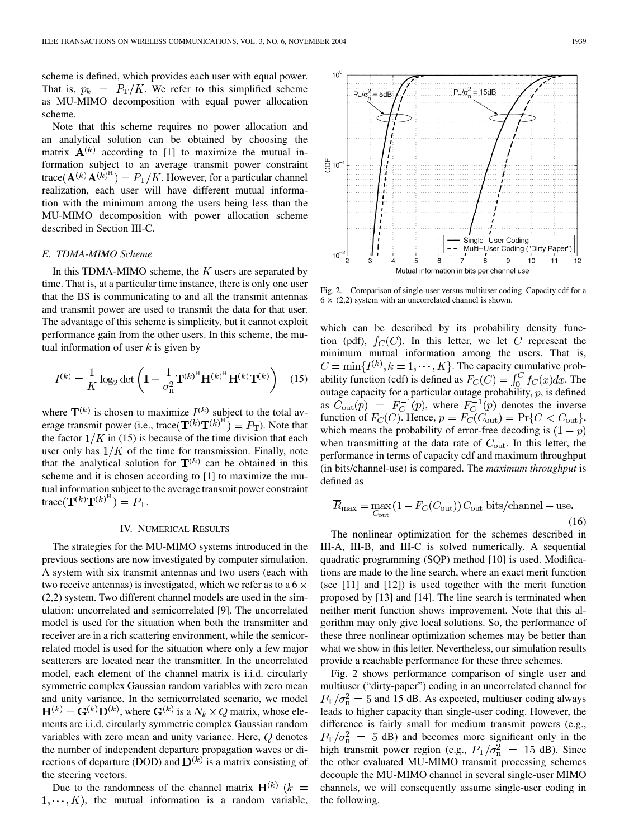$10<sup>0</sup>$ 

능10-

 $10$ 

3

 $=$  5dB

scheme is defined, which provides each user with equal power. That is,  $p_k = P_T/K$ . We refer to this simplified scheme as MU-MIMO decomposition with equal power allocation scheme.

Note that this scheme requires no power allocation and an analytical solution can be obtained by choosing the matrix  $A^{(k)}$  according to [\[1](#page-5-0)] to maximize the mutual information subject to an average transmit power constraint trace  $({\bf A}^{(k)}{\bf A}^{(k)H})=P_{\rm T}/K$ . However, for a particular channel realization, each user will have different mutual information with the minimum among the users being less than the MU-MIMO decomposition with power allocation scheme described in Section III-C.

#### *E. TDMA-MIMO Scheme*

In this TDMA-MIMO scheme, the  $K$  users are separated by time. That is, at a particular time instance, there is only one user that the BS is communicating to and all the transmit antennas and transmit power are used to transmit the data for that user. The advantage of this scheme is simplicity, but it cannot exploit performance gain from the other users. In this scheme, the mutual information of user  $k$  is given by

$$
I^{(k)} = \frac{1}{K} \log_2 \det \left( \mathbf{I} + \frac{1}{\sigma_{\text{n}}^2} \mathbf{T}^{(k)^{\text{H}}} \mathbf{H}^{(k)^{\text{H}}} \mathbf{H}^{(k)} \mathbf{T}^{(k)} \right) \quad (15)
$$

where  $\mathbf{T}^{(k)}$  is chosen to maximize  $I^{(k)}$  subject to the total average transmit power (i.e., trace  $(\mathbf{T}^{(k)}\mathbf{T}^{(k)^{H}}) = P_{\mathbf{T}}$ ). Note that the factor  $1/K$  in (15) is because of the time division that each user only has  $1/K$  of the time for transmission. Finally, note that the analytical solution for  $T^{(k)}$  can be obtained in this scheme and it is chosen according to [\[1](#page-5-0)] to maximize the mutual information subject to the average transmit power constraint trace  $(\mathbf{T}^{(k)}\mathbf{T}^{(k)^{\text{H}}})=P_{\text{T}}.$ 

### IV. NUMERICAL RESULTS

The strategies for the MU-MIMO systems introduced in the previous sections are now investigated by computer simulation. A system with six transmit antennas and two users (each with two receive antennas) is investigated, which we refer as to a  $6 \times$ (2,2) system. Two different channel models are used in the simulation: uncorrelated and semicorrelated [\[9](#page-5-0)]. The uncorrelated model is used for the situation when both the transmitter and receiver are in a rich scattering environment, while the semicorrelated model is used for the situation where only a few major scatterers are located near the transmitter. In the uncorrelated model, each element of the channel matrix is i.i.d. circularly symmetric complex Gaussian random variables with zero mean and unity variance. In the semicorrelated scenario, we model  $H^{(k)} = G^{(k)}D^{(k)}$ , where  $G^{(k)}$  is a  $N_k \times Q$  matrix, whose elements are i.i.d. circularly symmetric complex Gaussian random variables with zero mean and unity variance. Here,  $Q$  denotes the number of independent departure propagation waves or directions of departure (DOD) and  $D^{(k)}$  is a matrix consisting of the steering vectors.

Due to the randomness of the channel matrix  $H^{(k)}$  ( $k =$  $1, \dots, K$ , the mutual information is a random variable,



6

Single-User Coding Multi-User Coding (

9

8

"Dirty Paper"

12

 $10$ 

 $P_{T}/\sigma_{p}^{2} = 15dB$ 

 $6 \times (2,2)$  system with an uncorrelated channel is shown.

which can be described by its probability density function (pdf),  $f_C(C)$ . In this letter, we let C represent the minimum mutual information among the users. That is,  $C = \min\{I^{(k)}, k = 1, \dots, K\}$ . The capacity cumulative probability function (cdf) is defined as  $F_C(C) = \int_0^C f_C(x) dx$ . The outage capacity for a particular outage probability,  $p$ , is defined as  $C_{\text{out}}(p) = F_C^{-1}(p)$ , where  $F_C^{-1}(p)$  denotes the inverse function of  $F_C(C)$ . Hence,  $p = F_C(C_{\text{out}}) = \Pr\{C < C_{\text{out}}\},\$ which means the probability of error-free decoding is  $(1 - p)$ when transmitting at the data rate of  $C_{\text{out}}$ . In this letter, the performance in terms of capacity cdf and maximum throughput (in bits/channel-use) is compared. The *maximum throughput* is defined as

$$
\overline{R}_{\text{max}} = \max_{C_{\text{out}}} (1 - F_C(C_{\text{out}})) C_{\text{out}} \text{ bits/channel} - \text{use.}
$$
\n(16)

The nonlinear optimization for the schemes described in III-A, III-B, and III-C is solved numerically. A sequential quadratic programming (SQP) method [\[10](#page-5-0)] is used. Modifications are made to the line search, where an exact merit function (see [\[11](#page-5-0)] and [[12\]](#page-5-0)) is used together with the merit function proposed by [[13\]](#page-5-0) and [[14](#page-5-0)]. The line search is terminated when neither merit function shows improvement. Note that this algorithm may only give local solutions. So, the performance of these three nonlinear optimization schemes may be better than what we show in this letter. Nevertheless, our simulation results provide a reachable performance for these three schemes.

Fig. 2 shows performance comparison of single user and multiuser ("dirty-paper") coding in an uncorrelated channel for  $P_{\rm T}/\sigma_{\rm n}^2 = 5$  and 15 dB. As expected, multiuser coding always leads to higher capacity than single-user coding. However, the difference is fairly small for medium transmit powers (e.g.,  $P_{\rm T}/\sigma_{\rm n}^2$  = 5 dB) and becomes more significant only in the high transmit power region (e.g.,  $P_T/\sigma_n^2 = 15$  dB). Since the other evaluated MU-MIMO transmit processing schemes decouple the MU-MIMO channel in several single-user MIMO channels, we will consequently assume single-user coding in the following.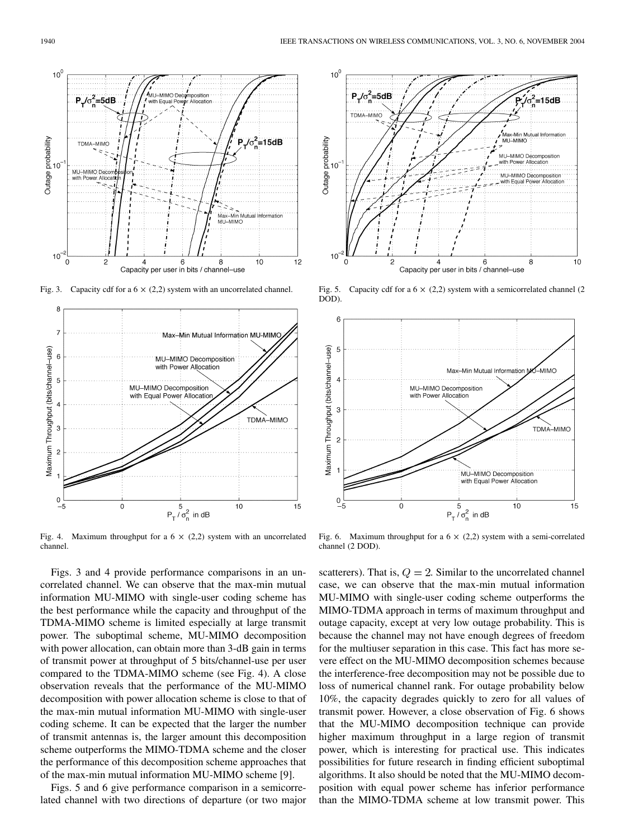

Fig. 3. Capacity cdf for a  $6 \times (2,2)$  system with an uncorrelated channel.



Fig. 4. Maximum throughput for a  $6 \times (2,2)$  system with an uncorrelated channel.

Figs. 3 and 4 provide performance comparisons in an uncorrelated channel. We can observe that the max-min mutual information MU-MIMO with single-user coding scheme has the best performance while the capacity and throughput of the TDMA-MIMO scheme is limited especially at large transmit power. The suboptimal scheme, MU-MIMO decomposition with power allocation, can obtain more than 3-dB gain in terms of transmit power at throughput of 5 bits/channel-use per user compared to the TDMA-MIMO scheme (see Fig. 4). A close observation reveals that the performance of the MU-MIMO decomposition with power allocation scheme is close to that of the max-min mutual information MU-MIMO with single-user coding scheme. It can be expected that the larger the number of transmit antennas is, the larger amount this decomposition scheme outperforms the MIMO-TDMA scheme and the closer the performance of this decomposition scheme approaches that of the max-min mutual information MU-MIMO scheme [[9\]](#page-5-0).

Figs. 5 and 6 give performance comparison in a semicorrelated channel with two directions of departure (or two major



Fig. 5. Capacity cdf for a  $6 \times (2,2)$  system with a semicorrelated channel (2) DOD).



Fig. 6. Maximum throughput for a  $6 \times (2,2)$  system with a semi-correlated channel (2 DOD).

scatterers). That is,  $Q = 2$ . Similar to the uncorrelated channel case, we can observe that the max-min mutual information MU-MIMO with single-user coding scheme outperforms the MIMO-TDMA approach in terms of maximum throughput and outage capacity, except at very low outage probability. This is because the channel may not have enough degrees of freedom for the multiuser separation in this case. This fact has more severe effect on the MU-MIMO decomposition schemes because the interference-free decomposition may not be possible due to loss of numerical channel rank. For outage probability below 10%, the capacity degrades quickly to zero for all values of transmit power. However, a close observation of Fig. 6 shows that the MU-MIMO decomposition technique can provide higher maximum throughput in a large region of transmit power, which is interesting for practical use. This indicates possibilities for future research in finding efficient suboptimal algorithms. It also should be noted that the MU-MIMO decomposition with equal power scheme has inferior performance than the MIMO-TDMA scheme at low transmit power. This